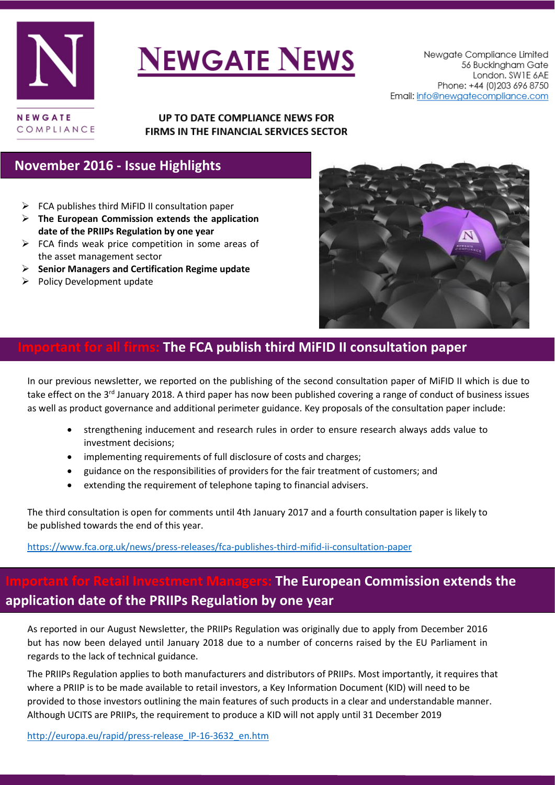

# **NEWGATE NEWS**

#### UP TO DATE COMPLIANCE NEWS FOR FIRMS IN THE FINANCIAL SERVICES SECTOR

### **November 2016 - Issue Highlights**

- $\triangleright$  [FCA publishes third MiFID II consultation paper](#page-0-0)
- **[The European Commission extends the application](#page-0-1)  [date of the PRIIPs Regulation by one year](#page-0-1)**
- $\triangleright$  FCA finds weak price competition in some areas of [the asset management sector](#page-1-0)
- **[Senior Managers and Certification Regime update](#page-2-0)**
- $\triangleright$  [Policy Development update](#page-3-0)



# <span id="page-0-0"></span>**IThe FCA publish third MiFID II consultation paper**

In our previous newsletter, we reported on the publishing of the second consultation paper of MiFID II which is due to take effect on the 3<sup>rd</sup> January 2018. A third paper has now been published covering a range of conduct of business issues as well as product governance and additional perimeter guidance. Key proposals of the consultation paper include:

- strengthening inducement and research rules in order to ensure research always adds value to investment decisions;
- implementing requirements of full disclosure of costs and charges;
- guidance on the responsibilities of providers for the fair treatment of customers; and
- extending the requirement of telephone taping to financial advisers.

The third consultation is open for comments until 4th January 2017 and a fourth consultation paper is likely to be published towards the end of this year.

<https://www.fca.org.uk/news/press-releases/fca-publishes-third-mifid-ii-consultation-paper>

# <span id="page-0-1"></span>**Inglerighth Form The European Commission extends the application date of the PRIIPs Regulation by one year**

As reported in our August Newsletter, the PRIIPs Regulation was originally due to apply from December 2016 but has now been delayed until January 2018 due to a number of concerns raised by the EU Parliament in regards to the lack of technical guidance.

The PRIIPs Regulation applies to both manufacturers and distributors of PRIIPs. Most importantly, it requires that where a PRIIP is to be made available to retail investors, a Key Information Document (KID) will need to be provided to those investors outlining the main features of such products in a clear and understandable manner. Although UCITS are PRIIPs, the requirement to produce a KID will not apply until 31 December 2019

[http://europa.eu/rapid/press-release\\_IP-16-3632\\_en.htm](http://europa.eu/rapid/press-release_IP-16-3632_en.htm)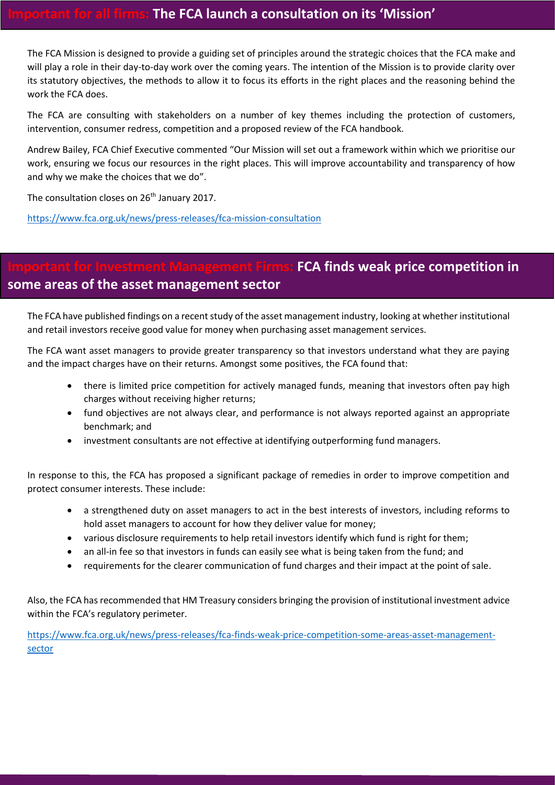## **Important for all firms: The FCA launch a consultation on its 'Mission'**

The FCA Mission is designed to provide a guiding set of principles around the strategic choices that the FCA make and will play a role in their day-to-day work over the coming years. The intention of the Mission is to provide clarity over its statutory objectives, the methods to allow it to focus its efforts in the right places and the reasoning behind the work the FCA does.

The FCA are consulting with stakeholders on a number of key themes including the protection of customers, intervention, consumer redress, competition and a proposed review of the FCA handbook.

Andrew Bailey, FCA Chief Executive commented "Our Mission will set out a framework within which we prioritise our work, ensuring we focus our resources in the right places. This will improve accountability and transparency of how and why we make the choices that we do".

The consultation closes on 26<sup>th</sup> January 2017.

<https://www.fca.org.uk/news/press-releases/fca-mission-consultation>

# <span id="page-1-0"></span>**IFCA finds weak price competition in some areas of the asset management sector**

The FCA have published findings on a recent study of the asset management industry, looking at whether institutional and retail investors receive good value for money when purchasing asset management services.

The FCA want asset managers to provide greater transparency so that investors understand what they are paying and the impact charges have on their returns. Amongst some positives, the FCA found that:

- there is limited price competition for actively managed funds, meaning that investors often pay high charges without receiving higher returns;
- fund objectives are not always clear, and performance is not always reported against an appropriate benchmark; and
- investment consultants are not effective at identifying outperforming fund managers.

In response to this, the FCA has proposed a significant package of remedies in order to improve competition and protect consumer interests. These include:

- a strengthened duty on asset managers to act in the best interests of investors, including reforms to hold asset managers to account for how they deliver value for money;
- various disclosure requirements to help retail investors identify which fund is right for them;
- an all-in fee so that investors in funds can easily see what is being taken from the fund; and
- requirements for the clearer communication of fund charges and their impact at the point of sale.

Also, the FCA has recommended that HM Treasury considers bringing the provision of institutional investment advice within the FCA's regulatory perimeter.

[https://www.fca.org.uk/news/press-releases/fca-finds-weak-price-competition-some-areas-asset-management](https://www.fca.org.uk/news/press-releases/fca-finds-weak-price-competition-some-areas-asset-management-sector)[sector](https://www.fca.org.uk/news/press-releases/fca-finds-weak-price-competition-some-areas-asset-management-sector)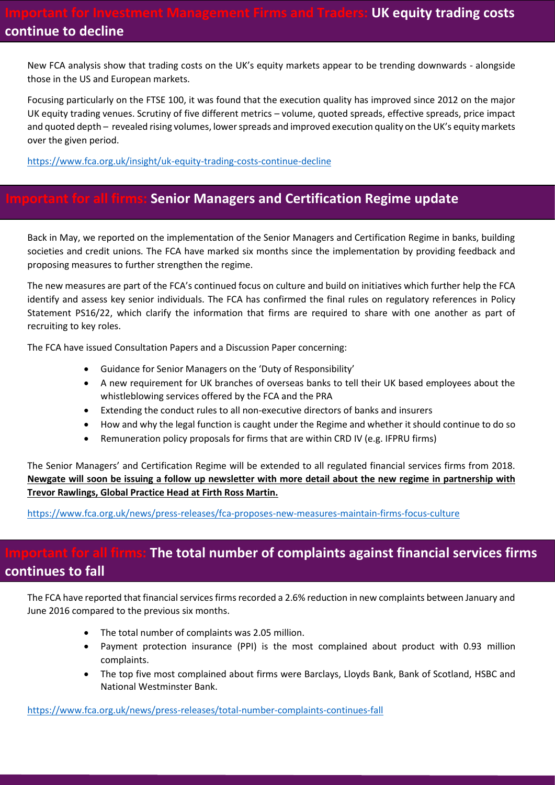New FCA analysis show that trading costs on the UK's equity markets appear to be trending downwards - alongside those in the US and European markets.

Focusing particularly on the FTSE 100, it was found that the execution quality has improved since 2012 on the major UK equity trading venues. Scrutiny of five different metrics – volume, quoted spreads, effective spreads, price impact and quoted depth – revealed rising volumes, lower spreads and improved execution quality on the UK's equity markets over the given period.

<https://www.fca.org.uk/insight/uk-equity-trading-costs-continue-decline>

#### <span id="page-2-0"></span>*<u><b>for all firms: Senior Managers and Certification Regime update</u>*

Back in May, we reported on the implementation of the Senior Managers and Certification Regime in banks, building societies and credit unions. The FCA have marked six months since the implementation by providing feedback and proposing measures to further strengthen the regime.

The new measures are part of the FCA's continued focus on culture and build on initiatives which further help the FCA identify and assess key senior individuals. The FCA has confirmed the final rules on regulatory references in Policy Statement PS16/22, which clarify the information that firms are required to share with one another as part of recruiting to key roles.

The FCA have issued Consultation Papers and a Discussion Paper concerning:

- Guidance for Senior Managers on the 'Duty of Responsibility'
- A new requirement for UK branches of overseas banks to tell their UK based employees about the whistleblowing services offered by the FCA and the PRA
- Extending the conduct rules to all non-executive directors of banks and insurers
- How and why the legal function is caught under the Regime and whether it should continue to do so
- Remuneration policy proposals for firms that are within CRD IV (e.g. IFPRU firms)

The Senior Managers' and Certification Regime will be extended to all regulated financial services firms from 2018. **Newgate will soon be issuing a follow up newsletter with more detail about the new regime in partnership with Trevor Rawlings, Global Practice Head at Firth Ross Martin.**

<https://www.fca.org.uk/news/press-releases/fca-proposes-new-measures-maintain-firms-focus-culture>

### firms: The total number of complaints against financial services firms **continues to fall**

The FCA have reported that financial services firms recorded a 2.6% reduction in new complaints between January and June 2016 compared to the previous six months.

- The total number of complaints was 2.05 million.
- Payment protection insurance (PPI) is the most complained about product with 0.93 million complaints.
- The top five most complained about firms were Barclays, Lloyds Bank, Bank of Scotland, HSBC and National Westminster Bank.

<https://www.fca.org.uk/news/press-releases/total-number-complaints-continues-fall>